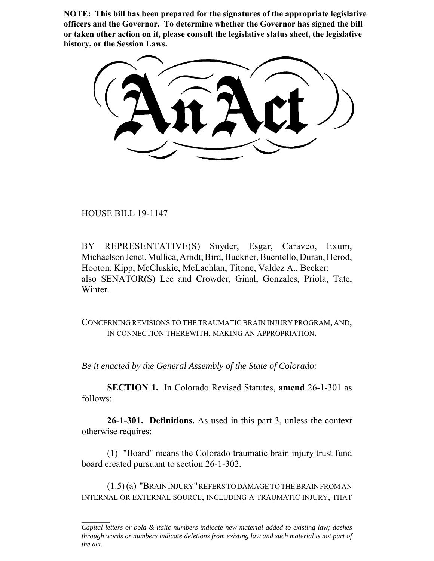**NOTE: This bill has been prepared for the signatures of the appropriate legislative officers and the Governor. To determine whether the Governor has signed the bill or taken other action on it, please consult the legislative status sheet, the legislative history, or the Session Laws.**

HOUSE BILL 19-1147

BY REPRESENTATIVE(S) Snyder, Esgar, Caraveo, Exum, Michaelson Jenet, Mullica, Arndt, Bird, Buckner, Buentello, Duran, Herod, Hooton, Kipp, McCluskie, McLachlan, Titone, Valdez A., Becker; also SENATOR(S) Lee and Crowder, Ginal, Gonzales, Priola, Tate, Winter.

CONCERNING REVISIONS TO THE TRAUMATIC BRAIN INJURY PROGRAM, AND, IN CONNECTION THEREWITH, MAKING AN APPROPRIATION.

*Be it enacted by the General Assembly of the State of Colorado:*

**SECTION 1.** In Colorado Revised Statutes, **amend** 26-1-301 as follows:

**26-1-301. Definitions.** As used in this part 3, unless the context otherwise requires:

(1) "Board" means the Colorado traumatic brain injury trust fund board created pursuant to section 26-1-302.

(1.5) (a) "BRAIN INJURY" REFERS TO DAMAGE TO THE BRAIN FROM AN INTERNAL OR EXTERNAL SOURCE, INCLUDING A TRAUMATIC INJURY, THAT

*Capital letters or bold & italic numbers indicate new material added to existing law; dashes through words or numbers indicate deletions from existing law and such material is not part of the act.*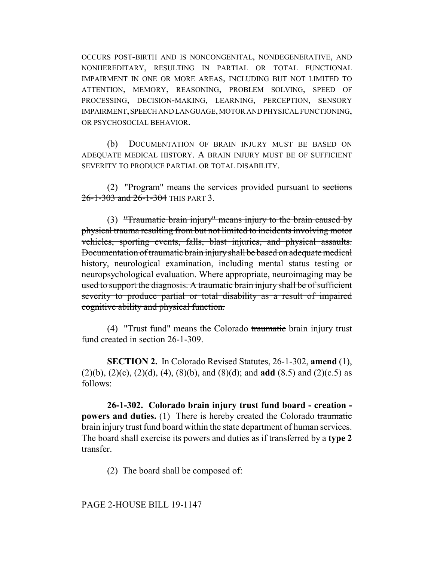OCCURS POST-BIRTH AND IS NONCONGENITAL, NONDEGENERATIVE, AND NONHEREDITARY, RESULTING IN PARTIAL OR TOTAL FUNCTIONAL IMPAIRMENT IN ONE OR MORE AREAS, INCLUDING BUT NOT LIMITED TO ATTENTION, MEMORY, REASONING, PROBLEM SOLVING, SPEED OF PROCESSING, DECISION-MAKING, LEARNING, PERCEPTION, SENSORY IMPAIRMENT, SPEECH AND LANGUAGE, MOTOR AND PHYSICAL FUNCTIONING, OR PSYCHOSOCIAL BEHAVIOR.

(b) DOCUMENTATION OF BRAIN INJURY MUST BE BASED ON ADEQUATE MEDICAL HISTORY. A BRAIN INJURY MUST BE OF SUFFICIENT SEVERITY TO PRODUCE PARTIAL OR TOTAL DISABILITY.

(2) "Program" means the services provided pursuant to sections 26-1-303 and 26-1-304 THIS PART 3.

(3) "Traumatic brain injury" means injury to the brain caused by physical trauma resulting from but not limited to incidents involving motor vehicles, sporting events, falls, blast injuries, and physical assaults. Documentation of traumatic brain injury shall be based on adequate medical history, neurological examination, including mental status testing or neuropsychological evaluation. Where appropriate, neuroimaging may be used to support the diagnosis. A traumatic brain injury shall be of sufficient severity to produce partial or total disability as a result of impaired cognitive ability and physical function.

(4) "Trust fund" means the Colorado traumatic brain injury trust fund created in section 26-1-309.

**SECTION 2.** In Colorado Revised Statutes, 26-1-302, **amend** (1), (2)(b), (2)(c), (2)(d), (4), (8)(b), and (8)(d); and **add** (8.5) and (2)(c.5) as follows:

**26-1-302. Colorado brain injury trust fund board - creation powers and duties.** (1) There is hereby created the Colorado traumatic brain injury trust fund board within the state department of human services. The board shall exercise its powers and duties as if transferred by a **type 2** transfer.

(2) The board shall be composed of:

### PAGE 2-HOUSE BILL 19-1147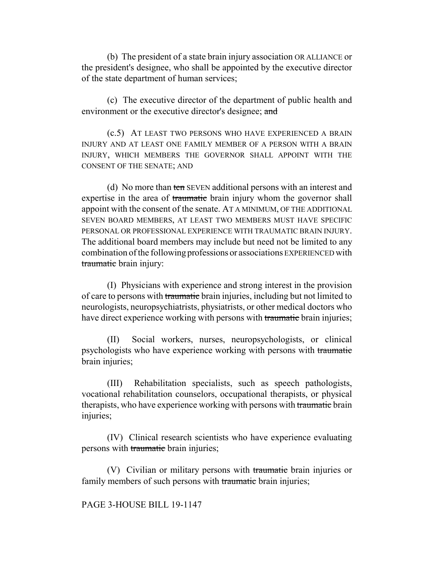(b) The president of a state brain injury association OR ALLIANCE or the president's designee, who shall be appointed by the executive director of the state department of human services;

(c) The executive director of the department of public health and environment or the executive director's designee; and

(c.5) AT LEAST TWO PERSONS WHO HAVE EXPERIENCED A BRAIN INJURY AND AT LEAST ONE FAMILY MEMBER OF A PERSON WITH A BRAIN INJURY, WHICH MEMBERS THE GOVERNOR SHALL APPOINT WITH THE CONSENT OF THE SENATE; AND

(d) No more than ten SEVEN additional persons with an interest and expertise in the area of traumatic brain injury whom the governor shall appoint with the consent of the senate. AT A MINIMUM, OF THE ADDITIONAL SEVEN BOARD MEMBERS, AT LEAST TWO MEMBERS MUST HAVE SPECIFIC PERSONAL OR PROFESSIONAL EXPERIENCE WITH TRAUMATIC BRAIN INJURY. The additional board members may include but need not be limited to any combination of the following professions or associations EXPERIENCED with traumatic brain injury:

(I) Physicians with experience and strong interest in the provision of care to persons with traumatic brain injuries, including but not limited to neurologists, neuropsychiatrists, physiatrists, or other medical doctors who have direct experience working with persons with traumatic brain injuries;

(II) Social workers, nurses, neuropsychologists, or clinical psychologists who have experience working with persons with traumatic brain injuries;

(III) Rehabilitation specialists, such as speech pathologists, vocational rehabilitation counselors, occupational therapists, or physical therapists, who have experience working with persons with traumatic brain injuries;

(IV) Clinical research scientists who have experience evaluating persons with traumatic brain injuries;

(V) Civilian or military persons with traumatic brain injuries or family members of such persons with traumatic brain injuries;

# PAGE 3-HOUSE BILL 19-1147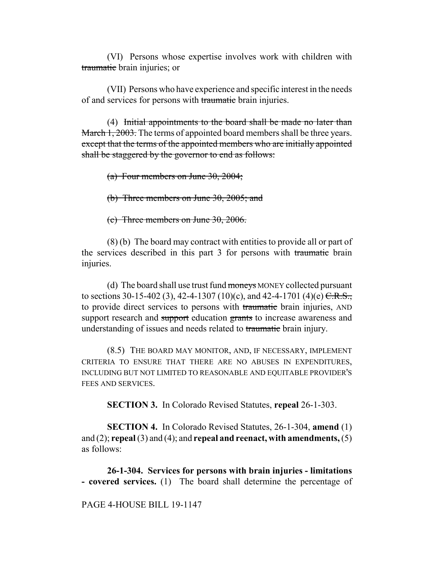(VI) Persons whose expertise involves work with children with traumatic brain injuries; or

(VII) Persons who have experience and specific interest in the needs of and services for persons with traumatic brain injuries.

(4) Initial appointments to the board shall be made no later than March 1, 2003. The terms of appointed board members shall be three years. except that the terms of the appointed members who are initially appointed shall be staggered by the governor to end as follows:

(a) Four members on June 30, 2004;

(b) Three members on June  $30, 2005$ ; and

(c) Three members on June 30, 2006.

(8) (b) The board may contract with entities to provide all or part of the services described in this part 3 for persons with traumatic brain injuries.

(d) The board shall use trust fund moneys MONEY collected pursuant to sections 30-15-402 (3), 42-4-1307 (10)(c), and 42-4-1701 (4)(e)  $C.R.S.,$ to provide direct services to persons with traumatic brain injuries, AND support research and support education grants to increase awareness and understanding of issues and needs related to traumatic brain injury.

(8.5) THE BOARD MAY MONITOR, AND, IF NECESSARY, IMPLEMENT CRITERIA TO ENSURE THAT THERE ARE NO ABUSES IN EXPENDITURES, INCLUDING BUT NOT LIMITED TO REASONABLE AND EQUITABLE PROVIDER'S FEES AND SERVICES.

**SECTION 3.** In Colorado Revised Statutes, **repeal** 26-1-303.

**SECTION 4.** In Colorado Revised Statutes, 26-1-304, **amend** (1) and (2); **repeal** (3) and (4); and **repeal and reenact, with amendments,** (5) as follows:

**26-1-304. Services for persons with brain injuries - limitations - covered services.** (1) The board shall determine the percentage of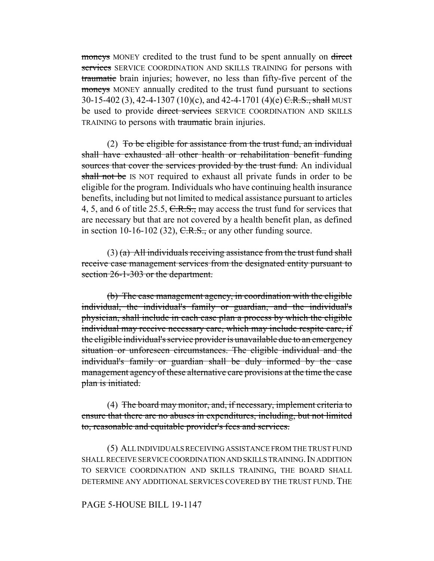moneys MONEY credited to the trust fund to be spent annually on direct services SERVICE COORDINATION AND SKILLS TRAINING for persons with traumatic brain injuries; however, no less than fifty-five percent of the moneys MONEY annually credited to the trust fund pursuant to sections 30-15-402 (3), 42-4-1307 (10)(c), and 42-4-1701 (4)(e)  $\overline{C.R.S.,}$  shall MUST be used to provide <del>direct services</del> SERVICE COORDINATION AND SKILLS TRAINING to persons with traumatic brain injuries.

(2) To be eligible for assistance from the trust fund, an individual shall have exhausted all other health or rehabilitation benefit funding sources that cover the services provided by the trust fund. An individual shall not be IS NOT required to exhaust all private funds in order to be eligible for the program. Individuals who have continuing health insurance benefits, including but not limited to medical assistance pursuant to articles 4, 5, and 6 of title 25.5, C.R.S., may access the trust fund for services that are necessary but that are not covered by a health benefit plan, as defined in section 10-16-102 (32),  $C.R.S.,$  or any other funding source.

 $(3)$  (a) All individuals receiving assistance from the trust fund shall receive case management services from the designated entity pursuant to section 26-1-303 or the department.

(b) The case management agency, in coordination with the eligible individual, the individual's family or guardian, and the individual's physician, shall include in each case plan a process by which the eligible individual may receive necessary care, which may include respite care, if the eligible individual's service provider is unavailable due to an emergency situation or unforeseen circumstances. The eligible individual and the individual's family or guardian shall be duly informed by the case management agency of these alternative care provisions at the time the case plan is initiated.

(4) The board may monitor, and, if necessary, implement criteria to ensure that there are no abuses in expenditures, including, but not limited to, reasonable and equitable provider's fees and services.

(5) ALL INDIVIDUALS RECEIVING ASSISTANCE FROM THE TRUST FUND SHALL RECEIVE SERVICE COORDINATION AND SKILLS TRAINING. IN ADDITION TO SERVICE COORDINATION AND SKILLS TRAINING, THE BOARD SHALL DETERMINE ANY ADDITIONAL SERVICES COVERED BY THE TRUST FUND. THE

### PAGE 5-HOUSE BILL 19-1147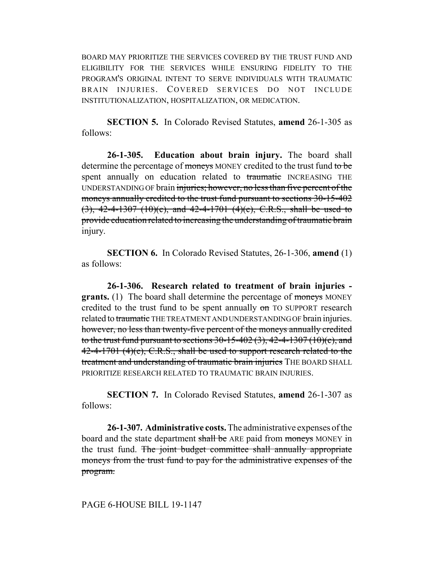BOARD MAY PRIORITIZE THE SERVICES COVERED BY THE TRUST FUND AND ELIGIBILITY FOR THE SERVICES WHILE ENSURING FIDELITY TO THE PROGRAM'S ORIGINAL INTENT TO SERVE INDIVIDUALS WITH TRAUMATIC BRAIN INJURIES. COVERED SERVICES DO NOT INCLUDE INSTITUTIONALIZATION, HOSPITALIZATION, OR MEDICATION.

**SECTION 5.** In Colorado Revised Statutes, **amend** 26-1-305 as follows:

**26-1-305. Education about brain injury.** The board shall determine the percentage of moneys MONEY credited to the trust fund to be spent annually on education related to traumatic INCREASING THE UNDERSTANDING OF brain injuries; however, no less than five percent of the moneys annually credited to the trust fund pursuant to sections 30-15-402  $(3)$ , 42-4-1307  $(10)(c)$ , and 42-4-1701  $(4)(e)$ , C.R.S., shall be used to provide education related to increasing the understanding of traumatic brain injury.

**SECTION 6.** In Colorado Revised Statutes, 26-1-306, **amend** (1) as follows:

**26-1-306. Research related to treatment of brain injuries grants.** (1) The board shall determine the percentage of moneys MONEY credited to the trust fund to be spent annually on TO SUPPORT research related to traumatic THE TREATMENT AND UNDERSTANDING OF brain injuries. however, no less than twenty-five percent of the moneys annually credited to the trust fund pursuant to sections  $30-15-402(3)$ ,  $42-4-1307(10)(c)$ , and  $42-4-1701$  (4)(e), C.R.S., shall be used to support research related to the treatment and understanding of traumatic brain injuries THE BOARD SHALL PRIORITIZE RESEARCH RELATED TO TRAUMATIC BRAIN INJURIES.

**SECTION 7.** In Colorado Revised Statutes, **amend** 26-1-307 as follows:

**26-1-307. Administrative costs.** The administrative expenses of the board and the state department shall be ARE paid from moneys MONEY in the trust fund. The joint budget committee shall annually appropriate moneys from the trust fund to pay for the administrative expenses of the program.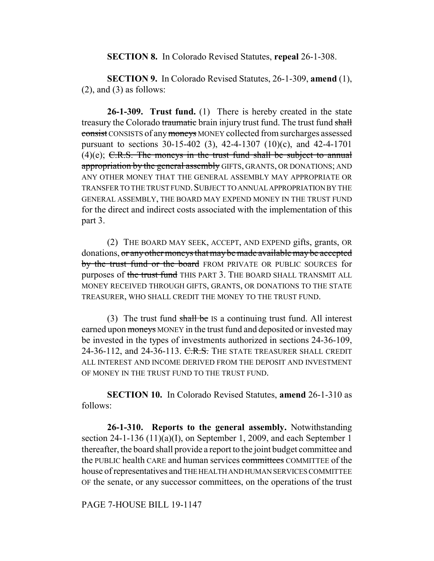#### **SECTION 8.** In Colorado Revised Statutes, **repeal** 26-1-308.

**SECTION 9.** In Colorado Revised Statutes, 26-1-309, **amend** (1),  $(2)$ , and  $(3)$  as follows:

**26-1-309. Trust fund.** (1) There is hereby created in the state treasury the Colorado traumatic brain injury trust fund. The trust fund shall consist CONSISTS of any moneys MONEY collected from surcharges assessed pursuant to sections 30-15-402 (3), 42-4-1307 (10)(c), and 42-4-1701  $(4)(e)$ ; C.R.S. The moneys in the trust fund shall be subject to annual appropriation by the general assembly GIFTS, GRANTS, OR DONATIONS; AND ANY OTHER MONEY THAT THE GENERAL ASSEMBLY MAY APPROPRIATE OR TRANSFER TO THE TRUST FUND.SUBJECT TO ANNUAL APPROPRIATION BY THE GENERAL ASSEMBLY, THE BOARD MAY EXPEND MONEY IN THE TRUST FUND for the direct and indirect costs associated with the implementation of this part 3.

(2) THE BOARD MAY SEEK, ACCEPT, AND EXPEND gifts, grants, OR donations, or any other moneys that may be made available may be accepted by the trust fund or the board FROM PRIVATE OR PUBLIC SOURCES for purposes of the trust fund THIS PART 3. THE BOARD SHALL TRANSMIT ALL MONEY RECEIVED THROUGH GIFTS, GRANTS, OR DONATIONS TO THE STATE TREASURER, WHO SHALL CREDIT THE MONEY TO THE TRUST FUND.

(3) The trust fund  $shall$  be IS a continuing trust fund. All interest earned upon moneys MONEY in the trust fund and deposited or invested may be invested in the types of investments authorized in sections 24-36-109, 24-36-112, and 24-36-113. C.R.S. THE STATE TREASURER SHALL CREDIT ALL INTEREST AND INCOME DERIVED FROM THE DEPOSIT AND INVESTMENT OF MONEY IN THE TRUST FUND TO THE TRUST FUND.

**SECTION 10.** In Colorado Revised Statutes, **amend** 26-1-310 as follows:

**26-1-310. Reports to the general assembly.** Notwithstanding section 24-1-136 (11)(a)(I), on September 1, 2009, and each September 1 thereafter, the board shall provide a report to the joint budget committee and the PUBLIC health CARE and human services committees COMMITTEE of the house of representatives and THE HEALTH AND HUMAN SERVICES COMMITTEE OF the senate, or any successor committees, on the operations of the trust

PAGE 7-HOUSE BILL 19-1147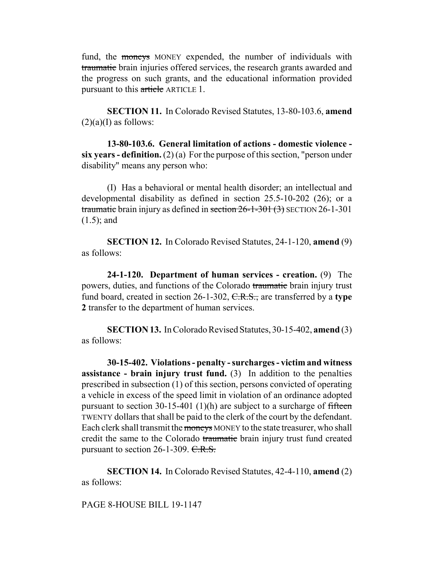fund, the moneys MONEY expended, the number of individuals with traumatic brain injuries offered services, the research grants awarded and the progress on such grants, and the educational information provided pursuant to this article ARTICLE 1.

**SECTION 11.** In Colorado Revised Statutes, 13-80-103.6, **amend**  $(2)(a)(I)$  as follows:

**13-80-103.6. General limitation of actions - domestic violence six years - definition.** (2) (a) For the purpose of this section, "person under disability" means any person who:

(I) Has a behavioral or mental health disorder; an intellectual and developmental disability as defined in section 25.5-10-202 (26); or a traumatic brain injury as defined in section 26-1-301 (3) SECTION 26-1-301 (1.5); and

**SECTION 12.** In Colorado Revised Statutes, 24-1-120, **amend** (9) as follows:

**24-1-120. Department of human services - creation.** (9) The powers, duties, and functions of the Colorado traumatic brain injury trust fund board, created in section 26-1-302, C.R.S., are transferred by a **type 2** transfer to the department of human services.

**SECTION 13.** In Colorado Revised Statutes, 30-15-402, **amend** (3) as follows:

**30-15-402. Violations - penalty - surcharges - victim and witness assistance - brain injury trust fund.** (3) In addition to the penalties prescribed in subsection (1) of this section, persons convicted of operating a vehicle in excess of the speed limit in violation of an ordinance adopted pursuant to section 30-15-401 (1)(h) are subject to a surcharge of fifteen TWENTY dollars that shall be paid to the clerk of the court by the defendant. Each clerk shall transmit the moneys MONEY to the state treasurer, who shall credit the same to the Colorado traumatic brain injury trust fund created pursuant to section 26-1-309. C.R.S.

**SECTION 14.** In Colorado Revised Statutes, 42-4-110, **amend** (2) as follows:

PAGE 8-HOUSE BILL 19-1147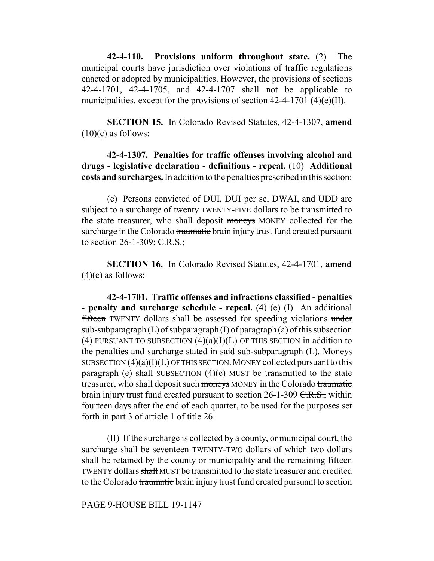**42-4-110. Provisions uniform throughout state.** (2) The municipal courts have jurisdiction over violations of traffic regulations enacted or adopted by municipalities. However, the provisions of sections 42-4-1701, 42-4-1705, and 42-4-1707 shall not be applicable to municipalities. except for the provisions of section  $42-4-1701$   $(4)(e)(H)$ .

**SECTION 15.** In Colorado Revised Statutes, 42-4-1307, **amend**  $(10)(c)$  as follows:

**42-4-1307. Penalties for traffic offenses involving alcohol and drugs - legislative declaration - definitions - repeal.** (10) **Additional costs and surcharges.** In addition to the penalties prescribed in this section:

(c) Persons convicted of DUI, DUI per se, DWAI, and UDD are subject to a surcharge of twenty TWENTY-FIVE dollars to be transmitted to the state treasurer, who shall deposit moneys MONEY collected for the surcharge in the Colorado traumatic brain injury trust fund created pursuant to section 26-1-309;  $C.R.S.$ ;

**SECTION 16.** In Colorado Revised Statutes, 42-4-1701, **amend**  $(4)(e)$  as follows:

**42-4-1701. Traffic offenses and infractions classified - penalties - penalty and surcharge schedule - repeal.** (4) (e) (I) An additional fifteen TWENTY dollars shall be assessed for speeding violations under  $sub-subparagnh (L) of subparagraph (I) of paragraph (a) of this subsection$  $(4)$  PURSUANT TO SUBSECTION  $(4)(a)(I)(L)$  OF THIS SECTION in addition to the penalties and surcharge stated in said sub-subparagraph (L). Moneys SUBSECTION  $(4)(a)(I)(L)$  OF THIS SECTION. MONEY collected pursuant to this  $\frac{\text{parameter}}{\text{mean}}$  (e) shall SUBSECTION (4)(e) MUST be transmitted to the state treasurer, who shall deposit such moneys MONEY in the Colorado traumatic brain injury trust fund created pursuant to section  $26$ -1-309 C.R.S., within fourteen days after the end of each quarter, to be used for the purposes set forth in part 3 of article 1 of title 26.

(II) If the surcharge is collected by a county, or municipal court, the surcharge shall be seventeen TWENTY-TWO dollars of which two dollars shall be retained by the county or municipality and the remaining fifteen TWENTY dollars shall MUST be transmitted to the state treasurer and credited to the Colorado traumatic brain injury trust fund created pursuant to section

# PAGE 9-HOUSE BILL 19-1147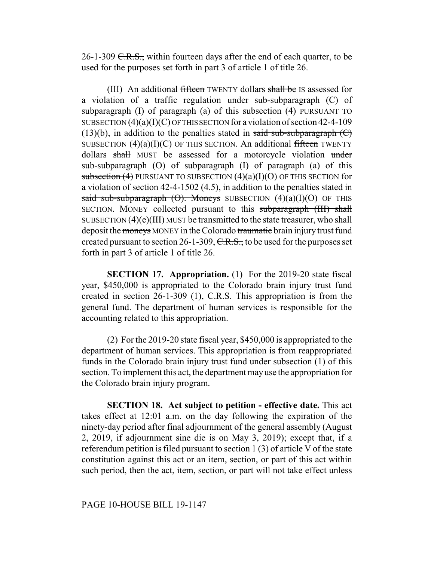26-1-309  $C.R.S.,$  within fourteen days after the end of each quarter, to be used for the purposes set forth in part 3 of article 1 of title 26.

(III) An additional fifteen TWENTY dollars shall be IS assessed for a violation of a traffic regulation under sub-subparagraph  $(C)$  of subparagraph  $(I)$  of paragraph  $(a)$  of this subsection  $(4)$  PURSUANT TO SUBSECTION  $(4)(a)(I)(C)$  OF THIS SECTION for a violation of section 42-4-109  $(13)(b)$ , in addition to the penalties stated in said sub-subparagraph  $(C)$ SUBSECTION  $(4)(a)(I)(C)$  OF THIS SECTION. An additional fifteen TWENTY dollars shall MUST be assessed for a motorcycle violation under sub-subparagraph  $(\theta)$  of subparagraph  $(I)$  of paragraph  $(a)$  of this subsection  $(4)$  PURSUANT TO SUBSECTION  $(4)(a)(I)(O)$  OF THIS SECTION for a violation of section 42-4-1502 (4.5), in addition to the penalties stated in said sub-subparagraph  $(\Theta)$ . Moneys SUBSECTION  $(4)(a)(I)(O)$  OF THIS SECTION. MONEY collected pursuant to this subparagraph (III) shall SUBSECTION (4)(e)(III) MUST be transmitted to the state treasurer, who shall deposit the moneys MONEY in the Colorado traumatic brain injury trust fund created pursuant to section 26-1-309,  $C.R.S.,$  to be used for the purposes set forth in part 3 of article 1 of title 26.

**SECTION 17. Appropriation.** (1) For the 2019-20 state fiscal year, \$450,000 is appropriated to the Colorado brain injury trust fund created in section 26-1-309 (1), C.R.S. This appropriation is from the general fund. The department of human services is responsible for the accounting related to this appropriation.

(2) For the 2019-20 state fiscal year, \$450,000 is appropriated to the department of human services. This appropriation is from reappropriated funds in the Colorado brain injury trust fund under subsection (1) of this section. To implement this act, the department may use the appropriation for the Colorado brain injury program.

**SECTION 18. Act subject to petition - effective date.** This act takes effect at 12:01 a.m. on the day following the expiration of the ninety-day period after final adjournment of the general assembly (August 2, 2019, if adjournment sine die is on May 3, 2019); except that, if a referendum petition is filed pursuant to section 1 (3) of article V of the state constitution against this act or an item, section, or part of this act within such period, then the act, item, section, or part will not take effect unless